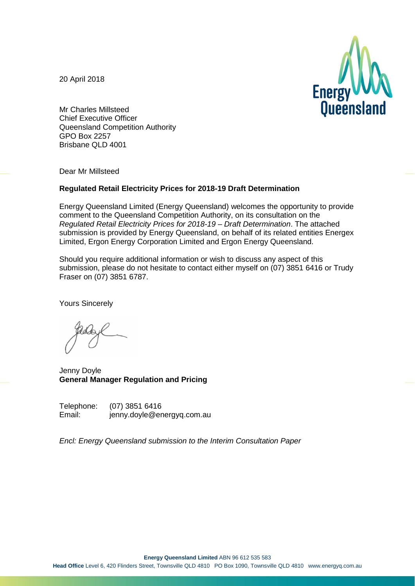20 April 2018



Mr Charles Millsteed Chief Executive Officer Queensland Competition Authority GPO Box 2257 Brisbane QLD 4001

Dear Mr Millsteed

#### **Regulated Retail Electricity Prices for 2018-19 Draft Determination**

Energy Queensland Limited (Energy Queensland) welcomes the opportunity to provide comment to the Queensland Competition Authority, on its consultation on the *Regulated Retail Electricity Prices for 2018-19 – Draft Determination*. The attached submission is provided by Energy Queensland, on behalf of its related entities Energex Limited, Ergon Energy Corporation Limited and Ergon Energy Queensland.

Should you require additional information or wish to discuss any aspect of this submission, please do not hesitate to contact either myself on (07) 3851 6416 or Trudy Fraser on (07) 3851 6787.

Yours Sincerely

Jenny Doyle **General Manager Regulation and Pricing**

Telephone: (07) 3851 6416<br>Email: iennv.dovle@er jenny.doyle@energyq.com.au

*Encl: Energy Queensland submission to the Interim Consultation Paper*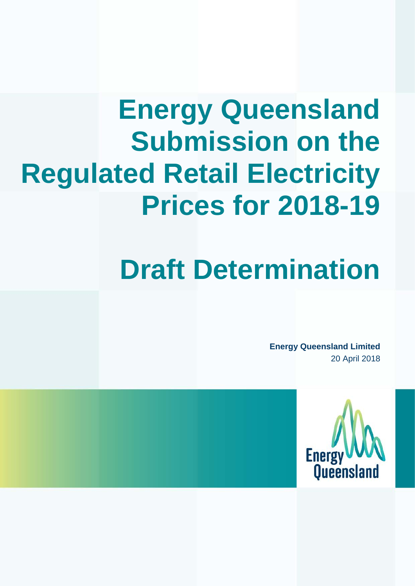# **Energy Queensland Submission on the Regulated Retail Electricity Prices for 2018-19**

# **Draft Determination**

**Energy Queensland Limited** 20 April 2018

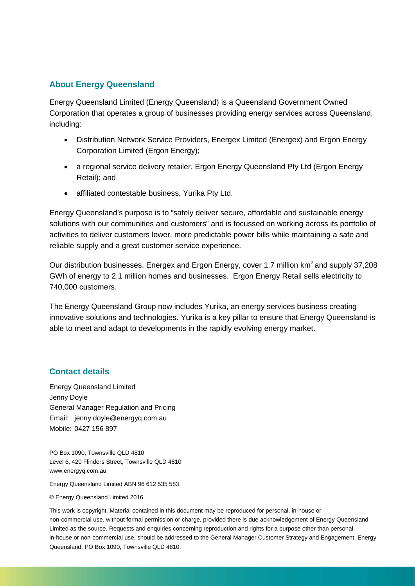#### **About Energy Queensland**

Energy Queensland Limited (Energy Queensland) is a Queensland Government Owned Corporation that operates a group of businesses providing energy services across Queensland, including:

- Distribution Network Service Providers, Energex Limited (Energex) and Ergon Energy Corporation Limited (Ergon Energy);
- a regional service delivery retailer, Ergon Energy Queensland Pty Ltd (Ergon Energy Retail); and
- affiliated contestable business, Yurika Pty Ltd.

Energy Queensland's purpose is to "safely deliver secure, affordable and sustainable energy solutions with our communities and customers" and is focussed on working across its portfolio of activities to deliver customers lower, more predictable power bills while maintaining a safe and reliable supply and a great customer service experience.

Our distribution businesses, Energex and Ergon Energy, cover 1.7 million km2 and supply 37,208 GWh of energy to 2.1 million homes and businesses. Ergon Energy Retail sells electricity to 740,000 customers.

The Energy Queensland Group now includes Yurika, an energy services business creating innovative solutions and technologies. Yurika is a key pillar to ensure that Energy Queensland is able to meet and adapt to developments in the rapidly evolving energy market.

#### **Contact details**

Energy Queensland Limited Jenny Doyle General Manager Regulation and Pricing Email: jenny.doyle@energyq.com.au Mobile: 0427 156 897

PO Box 1090, Townsville QLD 4810 Level 6, 420 Flinders Street, Townsville QLD 4810 www.energyq.com.au

Energy Queensland Limited ABN 96 612 535 583

© Energy Queensland Limited 2016

This work is copyright. Material contained in this document may be reproduced for personal, in-house or non-commercial use, without formal permission or charge, provided there is due acknowledgement of Energy Queensland Limited as the source. Requests and enquiries concerning reproduction and rights for a purpose other than personal, in-house or non-commercial use, should be addressed to the General Manager Customer Strategy and Engagement, Energy Queensland, PO Box 1090, Townsville QLD 4810.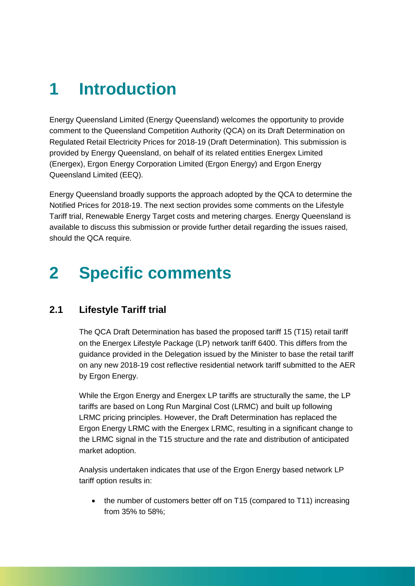# **1 Introduction**

Energy Queensland Limited (Energy Queensland) welcomes the opportunity to provide comment to the Queensland Competition Authority (QCA) on its Draft Determination on Regulated Retail Electricity Prices for 2018-19 (Draft Determination). This submission is provided by Energy Queensland, on behalf of its related entities Energex Limited (Energex), Ergon Energy Corporation Limited (Ergon Energy) and Ergon Energy Queensland Limited (EEQ).

Energy Queensland broadly supports the approach adopted by the QCA to determine the Notified Prices for 2018-19. The next section provides some comments on the Lifestyle Tariff trial, Renewable Energy Target costs and metering charges. Energy Queensland is available to discuss this submission or provide further detail regarding the issues raised, should the QCA require.

# **2 Specific comments**

## **2.1 Lifestyle Tariff trial**

The QCA Draft Determination has based the proposed tariff 15 (T15) retail tariff on the Energex Lifestyle Package (LP) network tariff 6400. This differs from the guidance provided in the Delegation issued by the Minister to base the retail tariff on any new 2018-19 cost reflective residential network tariff submitted to the AER by Ergon Energy.

While the Ergon Energy and Energex LP tariffs are structurally the same, the LP tariffs are based on Long Run Marginal Cost (LRMC) and built up following LRMC pricing principles. However, the Draft Determination has replaced the Ergon Energy LRMC with the Energex LRMC, resulting in a significant change to the LRMC signal in the T15 structure and the rate and distribution of anticipated market adoption.

Analysis undertaken indicates that use of the Ergon Energy based network LP tariff option results in:

• the number of customers better off on T15 (compared to T11) increasing from 35% to 58%;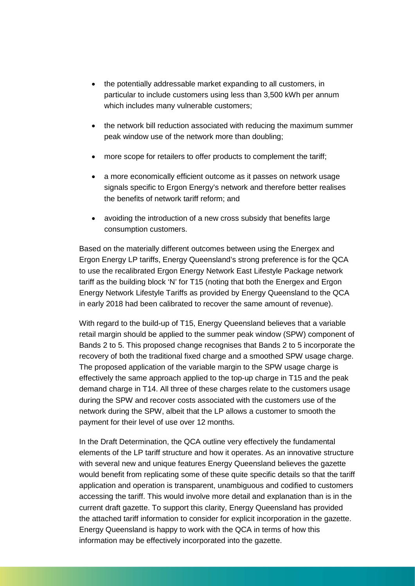- the potentially addressable market expanding to all customers, in particular to include customers using less than 3,500 kWh per annum which includes many vulnerable customers;
- the network bill reduction associated with reducing the maximum summer peak window use of the network more than doubling;
- more scope for retailers to offer products to complement the tariff;
- a more economically efficient outcome as it passes on network usage signals specific to Ergon Energy's network and therefore better realises the benefits of network tariff reform; and
- avoiding the introduction of a new cross subsidy that benefits large consumption customers.

Based on the materially different outcomes between using the Energex and Ergon Energy LP tariffs, Energy Queensland's strong preference is for the QCA to use the recalibrated Ergon Energy Network East Lifestyle Package network tariff as the building block 'N' for T15 (noting that both the Energex and Ergon Energy Network Lifestyle Tariffs as provided by Energy Queensland to the QCA in early 2018 had been calibrated to recover the same amount of revenue).

With regard to the build-up of T15, Energy Queensland believes that a variable retail margin should be applied to the summer peak window (SPW) component of Bands 2 to 5. This proposed change recognises that Bands 2 to 5 incorporate the recovery of both the traditional fixed charge and a smoothed SPW usage charge. The proposed application of the variable margin to the SPW usage charge is effectively the same approach applied to the top-up charge in T15 and the peak demand charge in T14. All three of these charges relate to the customers usage during the SPW and recover costs associated with the customers use of the network during the SPW, albeit that the LP allows a customer to smooth the payment for their level of use over 12 months.

In the Draft Determination, the QCA outline very effectively the fundamental elements of the LP tariff structure and how it operates. As an innovative structure with several new and unique features Energy Queensland believes the gazette would benefit from replicating some of these quite specific details so that the tariff application and operation is transparent, unambiguous and codified to customers accessing the tariff. This would involve more detail and explanation than is in the current draft gazette. To support this clarity, Energy Queensland has provided the attached tariff information to consider for explicit incorporation in the gazette. Energy Queensland is happy to work with the QCA in terms of how this information may be effectively incorporated into the gazette.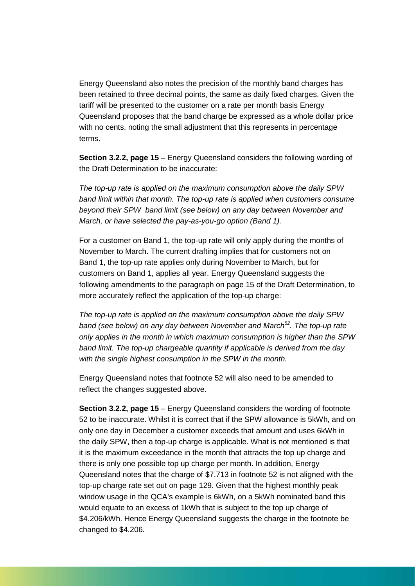Energy Queensland also notes the precision of the monthly band charges has been retained to three decimal points, the same as daily fixed charges. Given the tariff will be presented to the customer on a rate per month basis Energy Queensland proposes that the band charge be expressed as a whole dollar price with no cents, noting the small adjustment that this represents in percentage terms.

**Section 3.2.2, page 15** – Energy Queensland considers the following wording of the Draft Determination to be inaccurate:

*The top-up rate is applied on the maximum consumption above the daily SPW band limit within that month. The top-up rate is applied when customers consume beyond their SPW band limit (see below) on any day between November and March, or have selected the pay-as-you-go option (Band 1).*

For a customer on Band 1, the top-up rate will only apply during the months of November to March. The current drafting implies that for customers not on Band 1, the top-up rate applies only during November to March, but for customers on Band 1, applies all year. Energy Queensland suggests the following amendments to the paragraph on page 15 of the Draft Determination, to more accurately reflect the application of the top-up charge:

*The top-up rate is applied on the maximum consumption above the daily SPW*  band (see below) on any day between November and March<sup>52</sup>. The top-up rate *only applies in the month in which maximum consumption is higher than the SPW band limit. The top-up chargeable quantity if applicable is derived from the day with the single highest consumption in the SPW in the month.* 

Energy Queensland notes that footnote 52 will also need to be amended to reflect the changes suggested above.

**Section 3.2.2, page 15** – Energy Queensland considers the wording of footnote 52 to be inaccurate. Whilst it is correct that if the SPW allowance is 5kWh, and on only one day in December a customer exceeds that amount and uses 6kWh in the daily SPW, then a top-up charge is applicable. What is not mentioned is that it is the maximum exceedance in the month that attracts the top up charge and there is only one possible top up charge per month. In addition, Energy Queensland notes that the charge of \$7.713 in footnote 52 is not aligned with the top-up charge rate set out on page 129. Given that the highest monthly peak window usage in the QCA's example is 6kWh, on a 5kWh nominated band this would equate to an excess of 1kWh that is subject to the top up charge of \$4.206/kWh. Hence Energy Queensland suggests the charge in the footnote be changed to \$4.206.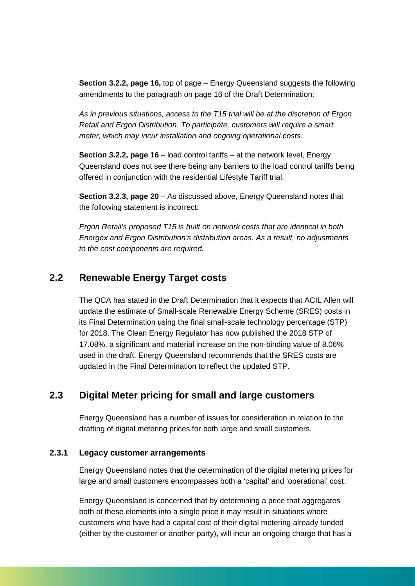**Section 3.2.2, page 16,** top of page – Energy Queensland suggests the following amendments to the paragraph on page 16 of the Draft Determination:

*As in previous situations, access to the T15 trial will be at the discretion of Ergon Retail and Ergon Distribution. To participate, customers will require a smart meter, which may incur installation and ongoing operational costs.* 

**Section 3.2.2, page 16** – load control tariffs – at the network level, Energy Queensland does not see there being any barriers to the load control tariffs being offered in conjunction with the residential Lifestyle Tariff trial.

**Section 3.2.3, page 20** – As discussed above, Energy Queensland notes that the following statement is incorrect:

*Ergon Retail's proposed T15 is built on network costs that are identical in both Energex and Ergon Distribution's distribution areas. As a result, no adjustments to the cost components are required.* 

### **2.2 Renewable Energy Target costs**

The QCA has stated in the Draft Determination that it expects that ACIL Allen will update the estimate of Small-scale Renewable Energy Scheme (SRES) costs in its Final Determination using the final small-scale technology percentage (STP) for 2018. The Clean Energy Regulator has now published the 2018 STP of 17.08%, a significant and material increase on the non-binding value of 8.06% used in the draft. Energy Queensland recommends that the SRES costs are updated in the Final Determination to reflect the updated STP.

## **2.3 Digital Meter pricing for small and large customers**

Energy Queensland has a number of issues for consideration in relation to the drafting of digital metering prices for both large and small customers.

#### **2.3.1 Legacy customer arrangements**

Energy Queensland notes that the determination of the digital metering prices for large and small customers encompasses both a 'capital' and 'operational' cost.

Energy Queensland is concerned that by determining a price that aggregates both of these elements into a single price it may result in situations where customers who have had a capital cost of their digital metering already funded (either by the customer or another party), will incur an ongoing charge that has a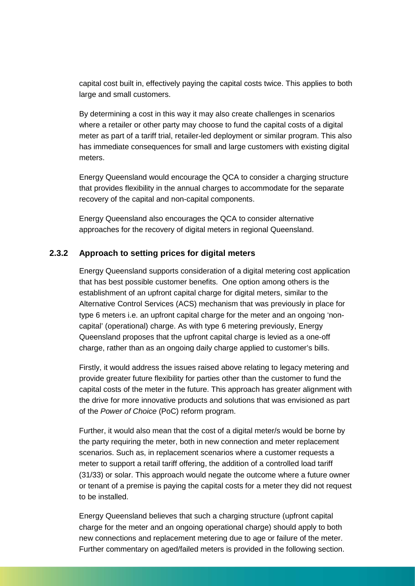capital cost built in, effectively paying the capital costs twice. This applies to both large and small customers.

By determining a cost in this way it may also create challenges in scenarios where a retailer or other party may choose to fund the capital costs of a digital meter as part of a tariff trial, retailer-led deployment or similar program. This also has immediate consequences for small and large customers with existing digital meters.

Energy Queensland would encourage the QCA to consider a charging structure that provides flexibility in the annual charges to accommodate for the separate recovery of the capital and non-capital components.

Energy Queensland also encourages the QCA to consider alternative approaches for the recovery of digital meters in regional Queensland.

#### **2.3.2 Approach to setting prices for digital meters**

Energy Queensland supports consideration of a digital metering cost application that has best possible customer benefits. One option among others is the establishment of an upfront capital charge for digital meters, similar to the Alternative Control Services (ACS) mechanism that was previously in place for type 6 meters i.e. an upfront capital charge for the meter and an ongoing 'noncapital' (operational) charge. As with type 6 metering previously, Energy Queensland proposes that the upfront capital charge is levied as a one-off charge, rather than as an ongoing daily charge applied to customer's bills.

Firstly, it would address the issues raised above relating to legacy metering and provide greater future flexibility for parties other than the customer to fund the capital costs of the meter in the future. This approach has greater alignment with the drive for more innovative products and solutions that was envisioned as part of the *Power of Choice* (PoC) reform program.

Further, it would also mean that the cost of a digital meter/s would be borne by the party requiring the meter, both in new connection and meter replacement scenarios. Such as, in replacement scenarios where a customer requests a meter to support a retail tariff offering, the addition of a controlled load tariff (31/33) or solar. This approach would negate the outcome where a future owner or tenant of a premise is paying the capital costs for a meter they did not request to be installed.

Energy Queensland believes that such a charging structure (upfront capital charge for the meter and an ongoing operational charge) should apply to both new connections and replacement metering due to age or failure of the meter. Further commentary on aged/failed meters is provided in the following section.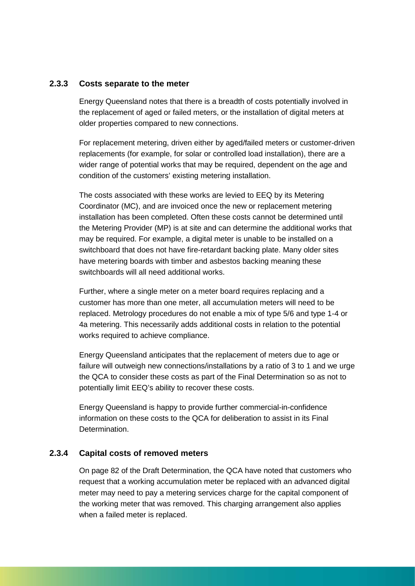#### **2.3.3 Costs separate to the meter**

Energy Queensland notes that there is a breadth of costs potentially involved in the replacement of aged or failed meters, or the installation of digital meters at older properties compared to new connections.

For replacement metering, driven either by aged/failed meters or customer-driven replacements (for example, for solar or controlled load installation), there are a wider range of potential works that may be required, dependent on the age and condition of the customers' existing metering installation.

The costs associated with these works are levied to EEQ by its Metering Coordinator (MC), and are invoiced once the new or replacement metering installation has been completed. Often these costs cannot be determined until the Metering Provider (MP) is at site and can determine the additional works that may be required. For example, a digital meter is unable to be installed on a switchboard that does not have fire-retardant backing plate. Many older sites have metering boards with timber and asbestos backing meaning these switchboards will all need additional works.

Further, where a single meter on a meter board requires replacing and a customer has more than one meter, all accumulation meters will need to be replaced. Metrology procedures do not enable a mix of type 5/6 and type 1-4 or 4a metering. This necessarily adds additional costs in relation to the potential works required to achieve compliance.

Energy Queensland anticipates that the replacement of meters due to age or failure will outweigh new connections/installations by a ratio of 3 to 1 and we urge the QCA to consider these costs as part of the Final Determination so as not to potentially limit EEQ's ability to recover these costs.

Energy Queensland is happy to provide further commercial-in-confidence information on these costs to the QCA for deliberation to assist in its Final Determination.

#### **2.3.4 Capital costs of removed meters**

On page 82 of the Draft Determination, the QCA have noted that customers who request that a working accumulation meter be replaced with an advanced digital meter may need to pay a metering services charge for the capital component of the working meter that was removed. This charging arrangement also applies when a failed meter is replaced.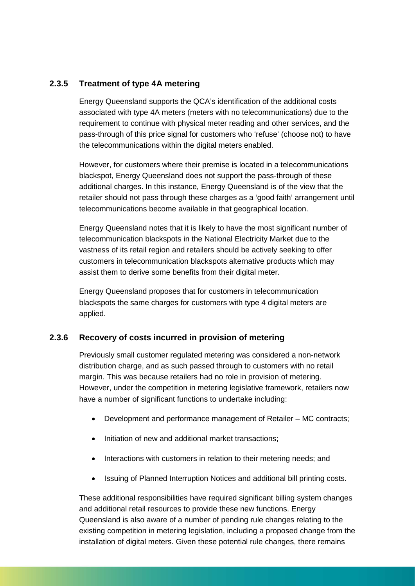#### **2.3.5 Treatment of type 4A metering**

Energy Queensland supports the QCA's identification of the additional costs associated with type 4A meters (meters with no telecommunications) due to the requirement to continue with physical meter reading and other services, and the pass-through of this price signal for customers who 'refuse' (choose not) to have the telecommunications within the digital meters enabled.

However, for customers where their premise is located in a telecommunications blackspot, Energy Queensland does not support the pass-through of these additional charges. In this instance, Energy Queensland is of the view that the retailer should not pass through these charges as a 'good faith' arrangement until telecommunications become available in that geographical location.

Energy Queensland notes that it is likely to have the most significant number of telecommunication blackspots in the National Electricity Market due to the vastness of its retail region and retailers should be actively seeking to offer customers in telecommunication blackspots alternative products which may assist them to derive some benefits from their digital meter.

Energy Queensland proposes that for customers in telecommunication blackspots the same charges for customers with type 4 digital meters are applied.

#### **2.3.6 Recovery of costs incurred in provision of metering**

Previously small customer regulated metering was considered a non-network distribution charge, and as such passed through to customers with no retail margin. This was because retailers had no role in provision of metering. However, under the competition in metering legislative framework, retailers now have a number of significant functions to undertake including:

- Development and performance management of Retailer MC contracts;
- Initiation of new and additional market transactions:
- Interactions with customers in relation to their metering needs; and
- Issuing of Planned Interruption Notices and additional bill printing costs.

These additional responsibilities have required significant billing system changes and additional retail resources to provide these new functions. Energy Queensland is also aware of a number of pending rule changes relating to the existing competition in metering legislation, including a proposed change from the installation of digital meters. Given these potential rule changes, there remains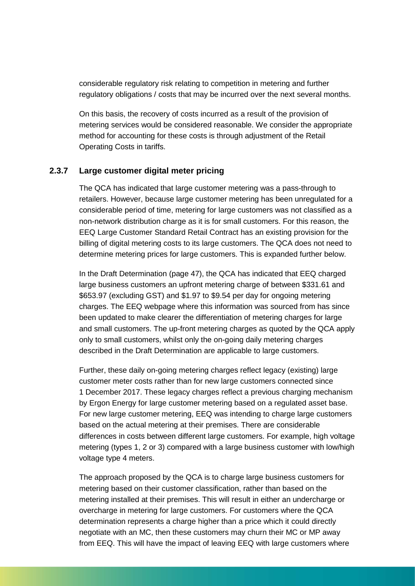considerable regulatory risk relating to competition in metering and further regulatory obligations / costs that may be incurred over the next several months.

On this basis, the recovery of costs incurred as a result of the provision of metering services would be considered reasonable. We consider the appropriate method for accounting for these costs is through adjustment of the Retail Operating Costs in tariffs.

#### **2.3.7 Large customer digital meter pricing**

The QCA has indicated that large customer metering was a pass-through to retailers. However, because large customer metering has been unregulated for a considerable period of time, metering for large customers was not classified as a non-network distribution charge as it is for small customers. For this reason, the EEQ Large Customer Standard Retail Contract has an existing provision for the billing of digital metering costs to its large customers. The QCA does not need to determine metering prices for large customers. This is expanded further below.

In the Draft Determination (page 47), the QCA has indicated that EEQ charged large business customers an upfront metering charge of between \$331.61 and \$653.97 (excluding GST) and \$1.97 to \$9.54 per day for ongoing metering charges. The EEQ webpage where this information was sourced from has since been updated to make clearer the differentiation of metering charges for large and small customers. The up-front metering charges as quoted by the QCA apply only to small customers, whilst only the on-going daily metering charges described in the Draft Determination are applicable to large customers.

Further, these daily on-going metering charges reflect legacy (existing) large customer meter costs rather than for new large customers connected since 1 December 2017. These legacy charges reflect a previous charging mechanism by Ergon Energy for large customer metering based on a regulated asset base. For new large customer metering, EEQ was intending to charge large customers based on the actual metering at their premises. There are considerable differences in costs between different large customers. For example, high voltage metering (types 1, 2 or 3) compared with a large business customer with low/high voltage type 4 meters.

The approach proposed by the QCA is to charge large business customers for metering based on their customer classification, rather than based on the metering installed at their premises. This will result in either an undercharge or overcharge in metering for large customers. For customers where the QCA determination represents a charge higher than a price which it could directly negotiate with an MC, then these customers may churn their MC or MP away from EEQ. This will have the impact of leaving EEQ with large customers where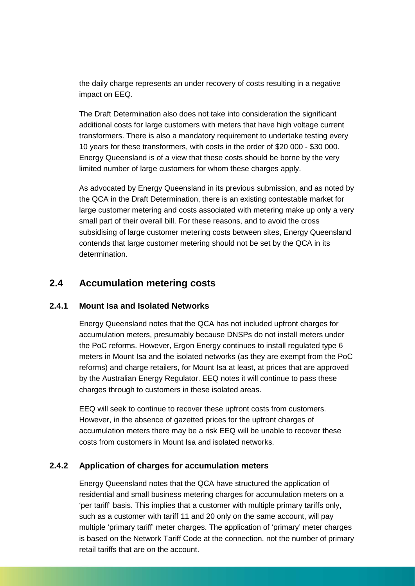the daily charge represents an under recovery of costs resulting in a negative impact on EEQ.

The Draft Determination also does not take into consideration the significant additional costs for large customers with meters that have high voltage current transformers. There is also a mandatory requirement to undertake testing every 10 years for these transformers, with costs in the order of \$20 000 - \$30 000. Energy Queensland is of a view that these costs should be borne by the very limited number of large customers for whom these charges apply.

As advocated by Energy Queensland in its previous submission, and as noted by the QCA in the Draft Determination, there is an existing contestable market for large customer metering and costs associated with metering make up only a very small part of their overall bill. For these reasons, and to avoid the cross subsidising of large customer metering costs between sites, Energy Queensland contends that large customer metering should not be set by the QCA in its determination.

## **2.4 Accumulation metering costs**

#### **2.4.1 Mount Isa and Isolated Networks**

Energy Queensland notes that the QCA has not included upfront charges for accumulation meters, presumably because DNSPs do not install meters under the PoC reforms. However, Ergon Energy continues to install regulated type 6 meters in Mount Isa and the isolated networks (as they are exempt from the PoC reforms) and charge retailers, for Mount Isa at least, at prices that are approved by the Australian Energy Regulator. EEQ notes it will continue to pass these charges through to customers in these isolated areas.

EEQ will seek to continue to recover these upfront costs from customers. However, in the absence of gazetted prices for the upfront charges of accumulation meters there may be a risk EEQ will be unable to recover these costs from customers in Mount Isa and isolated networks.

#### **2.4.2 Application of charges for accumulation meters**

Energy Queensland notes that the QCA have structured the application of residential and small business metering charges for accumulation meters on a 'per tariff' basis. This implies that a customer with multiple primary tariffs only, such as a customer with tariff 11 and 20 only on the same account, will pay multiple 'primary tariff' meter charges. The application of 'primary' meter charges is based on the Network Tariff Code at the connection, not the number of primary retail tariffs that are on the account.